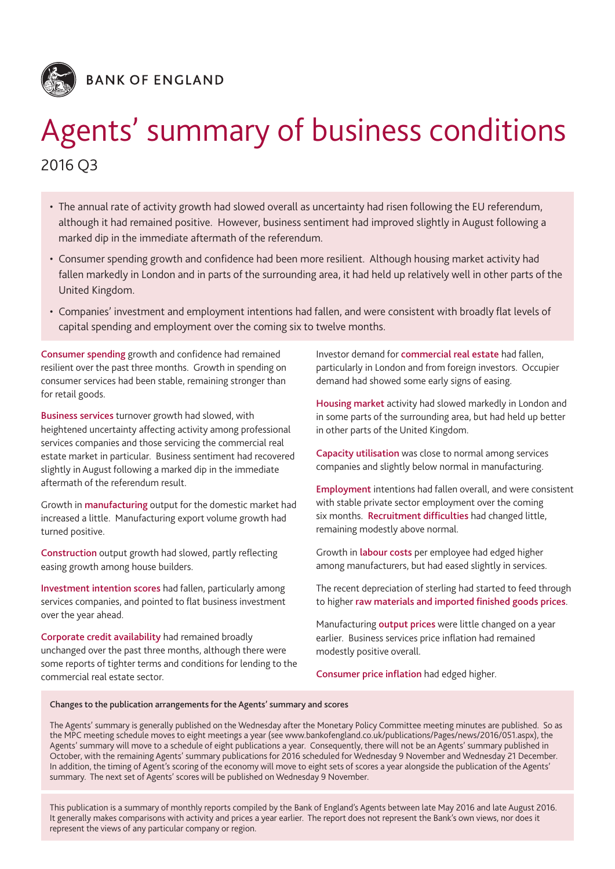

**BANK OF ENGLAND** 

# Agents' summary of business conditions 2016 Q3

- The annual rate of activity growth had slowed overall as uncertainty had risen following the EU referendum, although it had remained positive. However, business sentiment had improved slightly in August following a marked dip in the immediate aftermath of the referendum.
- • Consumer spending growth and confidence had been more resilient. Although housing market activity had fallen markedly in London and in parts of the surrounding area, it had held up relatively well in other parts of the United Kingdom.
- • Companies' investment and employment intentions had fallen, and were consistent with broadly flat levels of capital spending and employment over the coming six to twelve months.

Consumer spending growth and confidence had remained resilient over the past three months. Growth in spending on consumer services had been stable, remaining stronger than for retail goods.

Business services turnover growth had slowed, with heightened uncertainty affecting activity among professional services companies and those servicing the commercial real estate market in particular. Business sentiment had recovered slightly in August following a marked dip in the immediate aftermath of the referendum result.

Growth in manufacturing output for the domestic market had increased a little. Manufacturing export volume growth had turned positive.

Construction output growth had slowed, partly reflecting easing growth among house builders.

Investment intention scores had fallen, particularly among services companies, and pointed to flat business investment over the year ahead.

Corporate credit availability had remained broadly unchanged over the past three months, although there were some reports of tighter terms and conditions for lending to the commercial real estate sector.

Investor demand for commercial real estate had fallen, particularly in London and from foreign investors. Occupier demand had showed some early signs of easing.

Housing market activity had slowed markedly in London and in some parts of the surrounding area, but had held up better in other parts of the United Kingdom.

Capacity utilisation was close to normal among services companies and slightly below normal in manufacturing.

Employment intentions had fallen overall, and were consistent with stable private sector employment over the coming six months. Recruitment difficulties had changed little, remaining modestly above normal.

Growth in labour costs per employee had edged higher among manufacturers, but had eased slightly in services.

The recent depreciation of sterling had started to feed through to higher raw materials and imported finished goods prices.

Manufacturing output prices were little changed on a year earlier. Business services price inflation had remained modestly positive overall.

Consumer price inflation had edged higher.

### Changes to the publication arrangements for the Agents' summary and scores

The Agents' summary is generally published on the Wednesday after the Monetary Policy Committee meeting minutes are published. So as the MPC meeting schedule moves to eight meetings a year (see<www.bankofengland.co.uk/publications/Pages/news/2016/051.aspx>), the Agents' summary will move to a schedule of eight publications a year. Consequently, there will not be an Agents' summary published in October, with the remaining Agents' summary publications for 2016 scheduled for Wednesday 9 November and Wednesday 21 December. In addition, the timing of Agent's scoring of the economy will move to eight sets of scores a year alongside the publication of the Agents' summary. The next set of Agents' scores will be published on Wednesday 9 November.

This publication is a summary of monthly reports compiled by the Bank of England's Agents between late May 2016 and late August 2016. It generally makes comparisons with activity and prices a year earlier. The report does not represent the Bank's own views, nor does it represent the views of any particular company or region.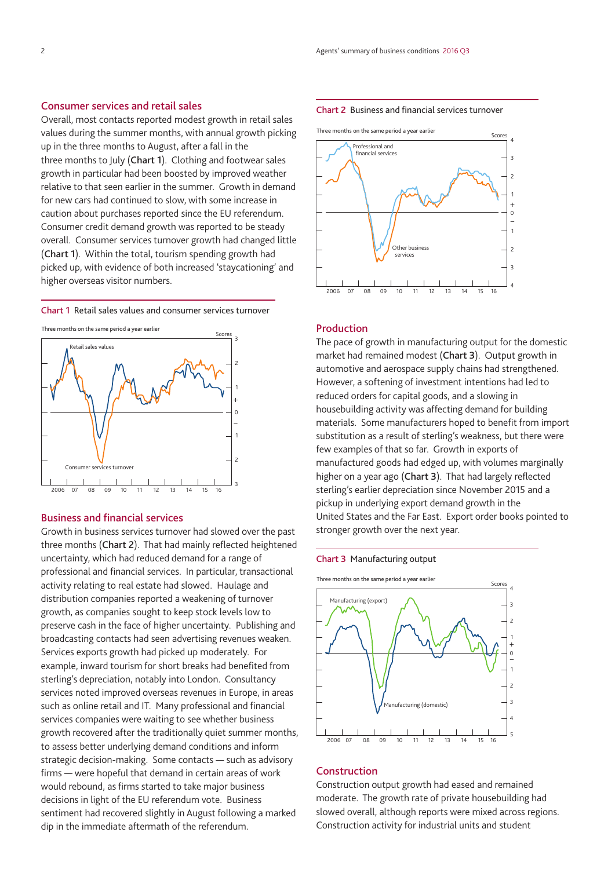## Consumer services and retail sales

Overall, most contacts reported modest growth in retail sales values during the summer months, with annual growth picking up in the three months to August, after a fall in the three months to July (Chart 1). Clothing and footwear sales growth in particular had been boosted by improved weather relative to that seen earlier in the summer. Growth in demand for new cars had continued to slow, with some increase in caution about purchases reported since the EU referendum. Consumer credit demand growth was reported to be steady overall. Consumer services turnover growth had changed little (Chart 1). Within the total, tourism spending growth had picked up, with evidence of both increased 'staycationing' and higher overseas visitor numbers.

Chart 1 Retail sales values and consumer services turnover





## Business and financial services

Growth in business services turnover had slowed over the past three months (Chart 2). That had mainly reflected heightened uncertainty, which had reduced demand for a range of professional and financial services. In particular, transactional activity relating to real estate had slowed. Haulage and distribution companies reported a weakening of turnover growth, as companies sought to keep stock levels low to preserve cash in the face of higher uncertainty. Publishing and broadcasting contacts had seen advertising revenues weaken. Services exports growth had picked up moderately. For example, inward tourism for short breaks had benefited from sterling's depreciation, notably into London. Consultancy services noted improved overseas revenues in Europe, in areas such as online retail and IT. Many professional and financial services companies were waiting to see whether business growth recovered after the traditionally quiet summer months, to assess better underlying demand conditions and inform strategic decision-making. Some contacts - such as advisory firms — were hopeful that demand in certain areas of work would rebound, as firms started to take major business decisions in light of the EU referendum vote. Business sentiment had recovered slightly in August following a marked dip in the immediate aftermath of the referendum.

#### Chart 2 Business and financial services turnover



### Production

The pace of growth in manufacturing output for the domestic market had remained modest (Chart 3). Output growth in automotive and aerospace supply chains had strengthened. However, a softening of investment intentions had led to reduced orders for capital goods, and a slowing in housebuilding activity was affecting demand for building materials. Some manufacturers hoped to benefit from import substitution as a result of sterling's weakness, but there were few examples of that so far. Growth in exports of manufactured goods had edged up, with volumes marginally higher on a year ago (Chart 3). That had largely reflected sterling's earlier depreciation since November 2015 and a pickup in underlying export demand growth in the United States and the Far East. Export order books pointed to stronger growth over the next year.

#### Chart 3 Manufacturing output



## Construction

Construction output growth had eased and remained moderate. The growth rate of private housebuilding had slowed overall, although reports were mixed across regions. Construction activity for industrial units and student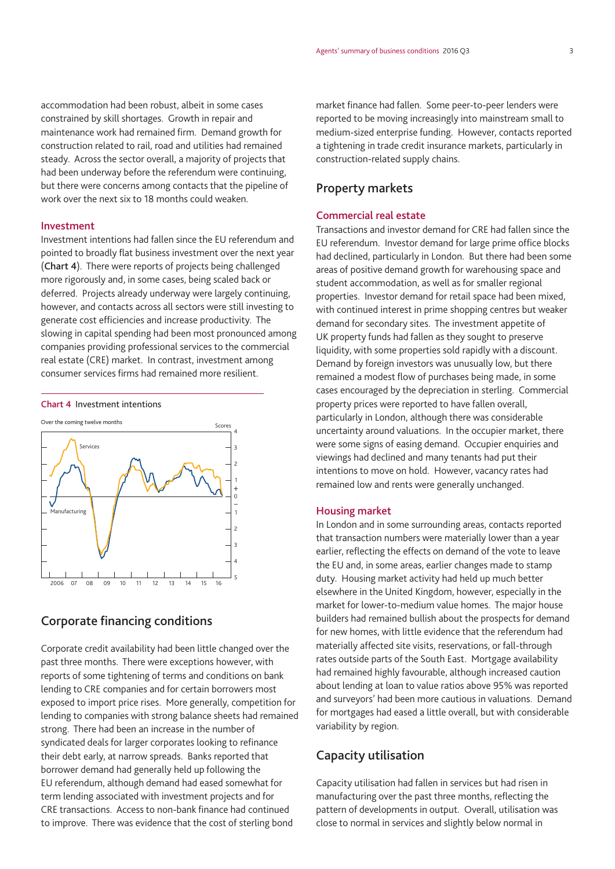accommodation had been robust, albeit in some cases constrained by skill shortages. Growth in repair and maintenance work had remained firm. Demand growth for construction related to rail, road and utilities had remained steady. Across the sector overall, a majority of projects that had been underway before the referendum were continuing, but there were concerns among contacts that the pipeline of

work over the next six to 18 months could weaken.

#### Investment

Investment intentions had fallen since the EU referendum and pointed to broadly flat business investment over the next year (Chart 4). There were reports of projects being challenged more rigorously and, in some cases, being scaled back or deferred. Projects already underway were largely continuing, however, and contacts across all sectors were still investing to generate cost efficiencies and increase productivity. The slowing in capital spending had been most pronounced among companies providing professional services to the commercial real estate (CRE) market. In contrast, investment among consumer services firms had remained more resilient.



## Corporate financing conditions

Corporate credit availability had been little changed over the past three months. There were exceptions however, with reports of some tightening of terms and conditions on bank lending to CRE companies and for certain borrowers most exposed to import price rises. More generally, competition for lending to companies with strong balance sheets had remained strong. There had been an increase in the number of syndicated deals for larger corporates looking to refinance their debt early, at narrow spreads. Banks reported that borrower demand had generally held up following the EU referendum, although demand had eased somewhat for term lending associated with investment projects and for CRE transactions. Access to non‑bank finance had continued to improve. There was evidence that the cost of sterling bond

market finance had fallen. Some peer-to-peer lenders were reported to be moving increasingly into mainstream small to medium‑sized enterprise funding. However, contacts reported a tightening in trade credit insurance markets, particularly in construction-related supply chains.

## Property markets

## Commercial real estate

Transactions and investor demand for CRE had fallen since the EU referendum. Investor demand for large prime office blocks had declined, particularly in London. But there had been some areas of positive demand growth for warehousing space and student accommodation, as well as for smaller regional properties. Investor demand for retail space had been mixed, with continued interest in prime shopping centres but weaker demand for secondary sites. The investment appetite of UK property funds had fallen as they sought to preserve liquidity, with some properties sold rapidly with a discount. Demand by foreign investors was unusually low, but there remained a modest flow of purchases being made, in some cases encouraged by the depreciation in sterling. Commercial property prices were reported to have fallen overall, particularly in London, although there was considerable uncertainty around valuations. In the occupier market, there were some signs of easing demand. Occupier enquiries and viewings had declined and many tenants had put their intentions to move on hold. However, vacancy rates had remained low and rents were generally unchanged.

#### Housing market

In London and in some surrounding areas, contacts reported that transaction numbers were materially lower than a year earlier, reflecting the effects on demand of the vote to leave the EU and, in some areas, earlier changes made to stamp duty. Housing market activity had held up much better elsewhere in the United Kingdom, however, especially in the market for lower-to-medium value homes. The major house builders had remained bullish about the prospects for demand for new homes, with little evidence that the referendum had materially affected site visits, reservations, or fall-through rates outside parts of the South East. Mortgage availability had remained highly favourable, although increased caution about lending at loan to value ratios above 95% was reported and surveyors' had been more cautious in valuations. Demand for mortgages had eased a little overall, but with considerable variability by region.

## Capacity utilisation

Capacity utilisation had fallen in services but had risen in manufacturing over the past three months, reflecting the pattern of developments in output. Overall, utilisation was close to normal in services and slightly below normal in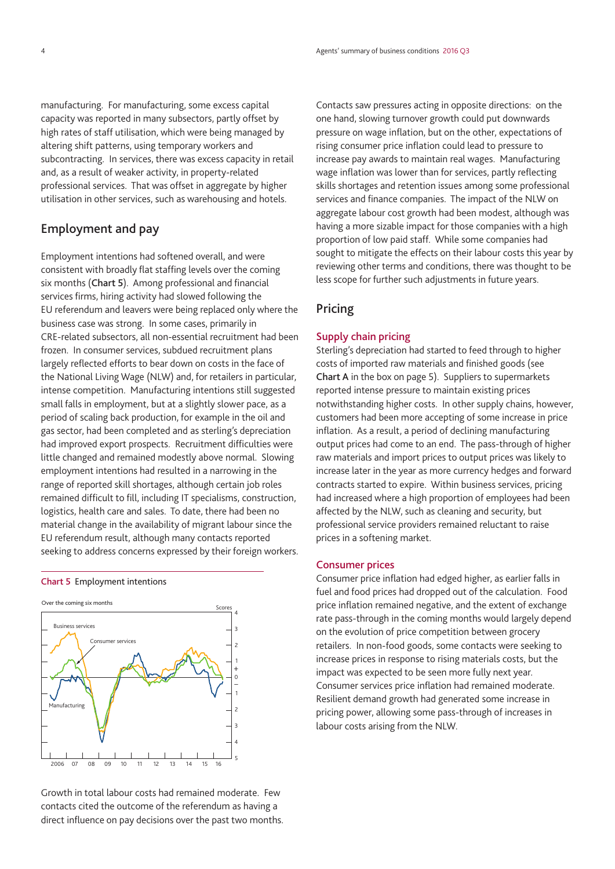manufacturing. For manufacturing, some excess capital capacity was reported in many subsectors, partly offset by high rates of staff utilisation, which were being managed by altering shift patterns, using temporary workers and subcontracting. In services, there was excess capacity in retail and, as a result of weaker activity, in property-related professional services. That was offset in aggregate by higher utilisation in other services, such as warehousing and hotels.

## Employment and pay

Employment intentions had softened overall, and were consistent with broadly flat staffing levels over the coming six months (Chart 5). Among professional and financial services firms, hiring activity had slowed following the EU referendum and leavers were being replaced only where the business case was strong. In some cases, primarily in CRE‑related subsectors, all non‑essential recruitment had been frozen. In consumer services, subdued recruitment plans largely reflected efforts to bear down on costs in the face of the National Living Wage (NLW) and, for retailers in particular, intense competition. Manufacturing intentions still suggested small falls in employment, but at a slightly slower pace, as a period of scaling back production, for example in the oil and gas sector, had been completed and as sterling's depreciation had improved export prospects. Recruitment difficulties were little changed and remained modestly above normal. Slowing employment intentions had resulted in a narrowing in the range of reported skill shortages, although certain job roles remained difficult to fill, including IT specialisms, construction, logistics, health care and sales. To date, there had been no material change in the availability of migrant labour since the EU referendum result, although many contacts reported seeking to address concerns expressed by their foreign workers.





Growth in total labour costs had remained moderate. Few contacts cited the outcome of the referendum as having a direct influence on pay decisions over the past two months. Contacts saw pressures acting in opposite directions: on the one hand, slowing turnover growth could put downwards pressure on wage inflation, but on the other, expectations of rising consumer price inflation could lead to pressure to increase pay awards to maintain real wages. Manufacturing wage inflation was lower than for services, partly reflecting skills shortages and retention issues among some professional services and finance companies. The impact of the NLW on aggregate labour cost growth had been modest, although was having a more sizable impact for those companies with a high proportion of low paid staff. While some companies had sought to mitigate the effects on their labour costs this year by reviewing other terms and conditions, there was thought to be less scope for further such adjustments in future years.

## Pricing

### Supply chain pricing

Sterling's depreciation had started to feed through to higher costs of imported raw materials and finished goods (see Chart A in the box on page 5). Suppliers to supermarkets reported intense pressure to maintain existing prices notwithstanding higher costs. In other supply chains, however, customers had been more accepting of some increase in price inflation. As a result, a period of declining manufacturing output prices had come to an end. The pass-through of higher raw materials and import prices to output prices was likely to increase later in the year as more currency hedges and forward contracts started to expire. Within business services, pricing had increased where a high proportion of employees had been affected by the NLW, such as cleaning and security, but professional service providers remained reluctant to raise prices in a softening market.

#### Consumer prices

Consumer price inflation had edged higher, as earlier falls in fuel and food prices had dropped out of the calculation. Food price inflation remained negative, and the extent of exchange rate pass-through in the coming months would largely depend on the evolution of price competition between grocery retailers. In non-food goods, some contacts were seeking to increase prices in response to rising materials costs, but the impact was expected to be seen more fully next year. Consumer services price inflation had remained moderate. Resilient demand growth had generated some increase in pricing power, allowing some pass-through of increases in labour costs arising from the NLW.